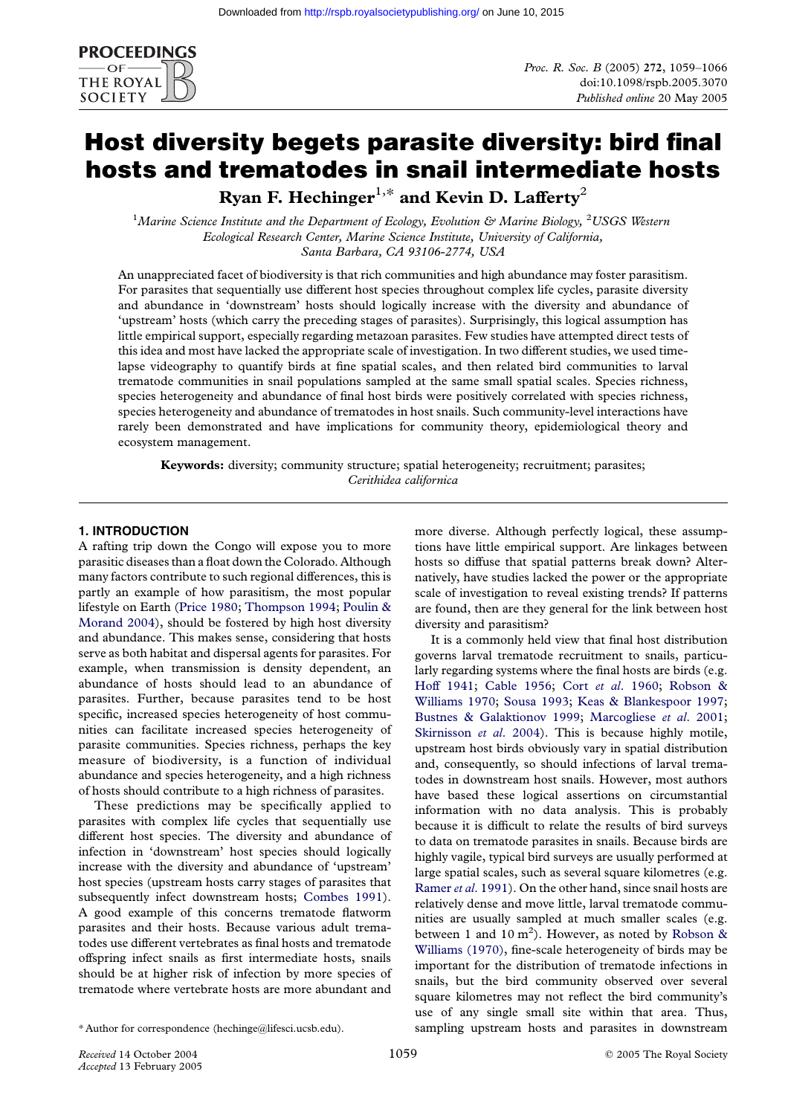

# Host diversity begets parasite diversity: bird final hosts and trematodes in snail intermediate hosts Ryan F. Hechinger<sup>1,\*</sup> and Kevin D. Lafferty<sup>2</sup>

<sup>1</sup>Marine Science Institute and the Department of Ecology, Evolution & Marine Biology, <sup>2</sup>USGS Western Ecological Research Center, Marine Science Institute, University of California, Santa Barbara, CA 93106-2774, USA

An unappreciated facet of biodiversity is that rich communities and high abundance may foster parasitism. For parasites that sequentially use different host species throughout complex life cycles, parasite diversity and abundance in 'downstream' hosts should logically increase with the diversity and abundance of 'upstream' hosts (which carry the preceding stages of parasites). Surprisingly, this logical assumption has little empirical support, especially regarding metazoan parasites. Few studies have attempted direct tests of this idea and most have lacked the appropriate scale of investigation. In two different studies, we used timelapse videography to quantify birds at fine spatial scales, and then related bird communities to larval trematode communities in snail populations sampled at the same small spatial scales. Species richness, species heterogeneity and abundance of final host birds were positively correlated with species richness, species heterogeneity and abundance of trematodes in host snails. Such community-level interactions have rarely been demonstrated and have implications for community theory, epidemiological theory and ecosystem management.

Keywords: diversity; community structure; spatial heterogeneity; recruitment; parasites; Cerithidea californica

# 1. INTRODUCTION

A rafting trip down the Congo will expose you to more parasitic diseases than a float down the Colorado. Although many factors contribute to such regional differences, this is partly an example of how parasitism, the most popular lifestyle on Earth (Price 1980; Thompson 1994; Poulin & Morand 2004), should be fostered by high host diversity and abundance. This makes sense, considering that hosts serve as both habitat and dispersal agents for parasites. For example, when t[ransmission](#page-6-0) [is density depen](#page-7-0)[dent, an](#page-6-0) [abundance of](#page-6-0) hosts should lead to an abundance of parasites. Further, because parasites tend to be host specific, increased species heterogeneity of host communities can facilitate increased species heterogeneity of parasite communities. Species richness, perhaps the key measure of biodiversity, is a function of individual abundance and species heterogeneity, and a high richness of hosts should contribute to a high richness of parasites.

These predictions may be specifically applied to parasites with complex life cycles that sequentially use different host species. The diversity and abundance of infection in 'downstream' host species should logically increase with the diversity and abundance of 'upstream' host species (upstream hosts carry stages of parasites that subsequently infect downstream hosts; Combes 1991). A good example of this concerns trematode flatworm parasites and their hosts. Because various adult trematodes use different vertebrates as final hosts and trematode offspring infect snails as first intermedi[ate hosts, snai](#page-5-0)ls should be at higher risk of infection by more species of trematode where vertebrate hosts are more abundant and

more diverse. Although perfectly logical, these assumptions have little empirical support. Are linkages between hosts so diffuse that spatial patterns break down? Alternatively, have studies lacked the power or the appropriate scale of investigation to reveal existing trends? If patterns are found, then are they general for the link between host diversity and parasitism?

It is a commonly held view that final host distribution governs larval trematode recruitment to snails, particularly regarding systems where the final hosts are birds (e.g. Hoff 1941; Cable 1956; Cort et al. 1960; Robson & Williams 1970; Sousa 1993; Keas & Blankespoor 1997; Bustnes & Galaktionov 1999; Marcogliese et al. 2001; Skirnisson et al. 2004). This is because highly motile, [upstream h](#page-6-0)o[st birds obvio](#page-5-0)[usly vary in spatial](#page-6-0) [distribution](#page-6-0) [and, consequently, so should infections of larval trema](#page-6-0)[todes in downstream host snai](#page-5-0)l[s. However, most authors](#page-6-0) [have based these logi](#page-6-0)cal assertions on circumstantial information with no data analysis. This is probably because it is difficult to relate the results of bird surveys to data on trematode parasites in snails. Because birds are highly vagile, typical bird surveys are usually performed at large spatial scales, such as several square kilometres (e.g. Ramer et al. 1991). On the other hand, since snail hosts are relatively dense and move little, larval trematode communities are usually sampled at much smaller scales (e.g. between 1 and  $10 \text{ m}^2$ ). However, as noted by Robson & [Williams \(1970\),](#page-6-0) fine-scale heterogeneity of birds may be important for the distribution of trematode infections in snails, but the bird community observed over several square kilometres may not reflect the bird co[mmunity's](#page-6-0) [use of any sing](#page-6-0)le small site within that area. Thus, sampling upstream hosts and parasites in downstream

<sup>\*</sup> Author for correspondence (hechinge@lifesci.ucsb.edu).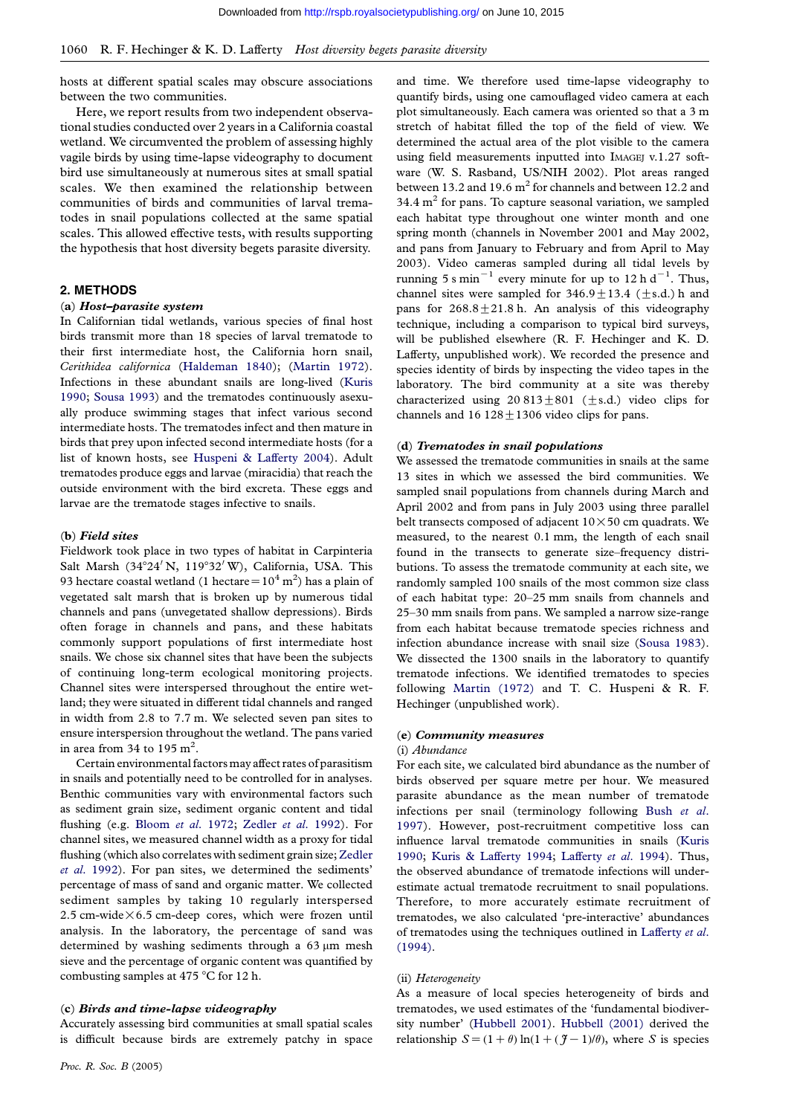hosts at different spatial scales may obscure associations between the two communities.

Here, we report results from two independent observational studies conducted over 2 years in a California coastal wetland. We circumvented the problem of assessing highly vagile birds by using time-lapse videography to document bird use simultaneously at numerous sites at small spatial scales. We then examined the relationship between communities of birds and communities of larval trematodes in snail populations collected at the same spatial scales. This allowed effective tests, with results supporting the hypothesis that host diversity begets parasite diversity.

## 2. METHODS

## (a) Host–parasite system

In Californian tidal wetlands, various species of final host birds transmit more than 18 species of larval trematode to their first intermediate host, the California horn snail, Cerithidea californica (Haldeman 1840); (Martin 1972). Infections in these abundant snails are long-lived (Kuris 1990; Sousa 1993) and the trematodes continuously asexually produce swimming stages that infect various second intermediate hosts. The [trematodes infect](#page-6-0) an[d then mature i](#page-6-0)n birds that prey upon infected second intermediate hosts [\(for a](#page-6-0) [list o](#page-6-0)f [known host](#page-6-0)s, see Huspeni & Lafferty 2004). Adult trematodes produce eggs and larvae (miracidia) that reach the outside environment with the bird excreta. These eggs and larvae are the trematode stages infective to snails.

#### (b) Field sites

Fieldwork took place in two types of habitat in Carpinteria Salt Marsh (34°24' N, 119°32' W), California, USA. This 93 hectare coastal wetland (1 hectare =  $10^4$  m<sup>2</sup>) has a plain of vegetated salt marsh that is broken up by numerous tidal channels and pans (unvegetated shallow depressions). Birds often forage in channels and pans, and these habitats commonly support populations of first intermediate host snails. We chose six channel sites that have been the subjects of continuing long-term ecological monitoring projects. Channel sites were interspersed throughout the entire wetland; they were situated in different tidal channels and ranged in width from 2.8 to 7.7 m. We selected seven pan sites to ensure interspersion throughout the wetland. The pans varied in area from 34 to 195  $m^2$ .

Certain environmental factors mayaffect rates of parasitism in snails and potentially need to be controlled for in analyses. Benthic communities vary with environmental factors such as sediment grain size, sediment organic content and tidal flushing (e.g. Bloom et al. 1972; Zedler et al. 1992). For channel sites, we measured channel width as a proxy for tidal flushing (which also correlates with sediment grain size; Zedler et al. 1992). For pan sites, we determined the sediments' percentage of [mass of sand and or](#page-5-0)g[anic matter. We col](#page-7-0)lected sediment samples by taking 10 regularly interspersed 2.5 cm-wide $\times$ 6.5 cm-deep cores, which were froze[n until](#page-7-0) [analysis. In](#page-7-0) the laboratory, the percentage of sand was determined by washing sediments through a 63  $\mu$ m mesh sieve and the percentage of organic content was quantified by combusting samples at 475 °C for 12 h.

## (c) Birds and time-lapse videography

Accurately assessing bird communities at small spatial scales is difficult because birds are extremely patchy in space

[and time. We](http://rspb.royalsocietypublishing.org/) therefore used time-lapse videography to quantify birds, using one camouflaged video camera at each plot simultaneously. Each camera was oriented so that a 3 m stretch of habitat filled the top of the field of view. We determined the actual area of the plot visible to the camera using field measurements inputted into IMAGEJ v.1.27 software (W. S. Rasband, US/NIH 2002). Plot areas ranged between 13.2 and 19.6  $m<sup>2</sup>$  for channels and between 12.2 and 34.4  $m<sup>2</sup>$  for pans. To capture seasonal variation, we sampled each habitat type throughout one winter month and one spring month (channels in November 2001 and May 2002, and pans from January to February and from April to May 2003). Video cameras sampled during all tidal levels by running 5 s min<sup>-1</sup> every minute for up to 12 h d<sup>-1</sup>. Thus, channel sites were sampled for  $346.9 \pm 13.4$  ( $\pm$ s.d.) h and pans for  $268.8 \pm 21.8$  h. An analysis of this videography technique, including a comparison to typical bird surveys, will be published elsewhere (R. F. Hechinger and K. D. Lafferty, unpublished work). We recorded the presence and species identity of birds by inspecting the video tapes in the laboratory. The bird community at a site was thereby characterized using  $20\,813\pm801$  ( $\pm$ s.d.) video clips for channels and  $16128 \pm 1306$  video clips for pans.

#### (d) Trematodes in snail populations

We assessed the trematode communities in snails at the same 13 sites in which we assessed the bird communities. We sampled snail populations from channels during March and April 2002 and from pans in July 2003 using three parallel belt transects composed of adjacent  $10 \times 50$  cm quadrats. We measured, to the nearest 0.1 mm, the length of each snail found in the transects to generate size–frequency distributions. To assess the trematode community at each site, we randomly sampled 100 snails of the most common size class of each habitat type: 20–25 mm snails from channels and 25–30 mm snails from pans. We sampled a narrow size-range from each habitat because trematode species richness and infection abundance increase with snail size (Sousa 1983). We dissected the 1300 snails in the laboratory to quantify trematode infections. We identified trematodes to species following Martin (1972) and T. C. Huspeni & R. F. Hechinger (unpublished work).

## (e) Community measures

#### (i) Abundance

For each si[te,](#page-6-0) [we](#page-6-0) [calculated](#page-6-0) bird abundance as the number of birds observed per square metre per hour. We measured parasite abundance as the mean number of trematode infections per snail (terminology following Bush et al. 1997). However, post-recruitment competitive loss can influence larval trematode communities in snails (Kuris 1990; Kuris & Lafferty 1994; Lafferty et al. 1994). Thus, the observed abundance of trematode infection[s will under](#page-5-0)[estim](#page-5-0)ate actual trematode recruitment to snail populations. Therefore, to more accurately estimate recruitme[nt of](#page-6-0) [trema](#page-6-0)t[odes, we also calculated 'pre-interactive' abu](#page-6-0)ndances of trematodes using the techniques outlined in Lafferty et al. (1994).

#### (ii) Heterogeneity

As a measure of local species heterogeneity [of birds and](#page-6-0) [tremato](#page-6-0)des, we used estimates of the 'fundamental biodiversity number' (Hubbell 2001). Hubbell (2001) derived the relationship  $S = (1 + \theta) \ln(1 + (\mathcal{J} - 1)/\theta)$ , where S is species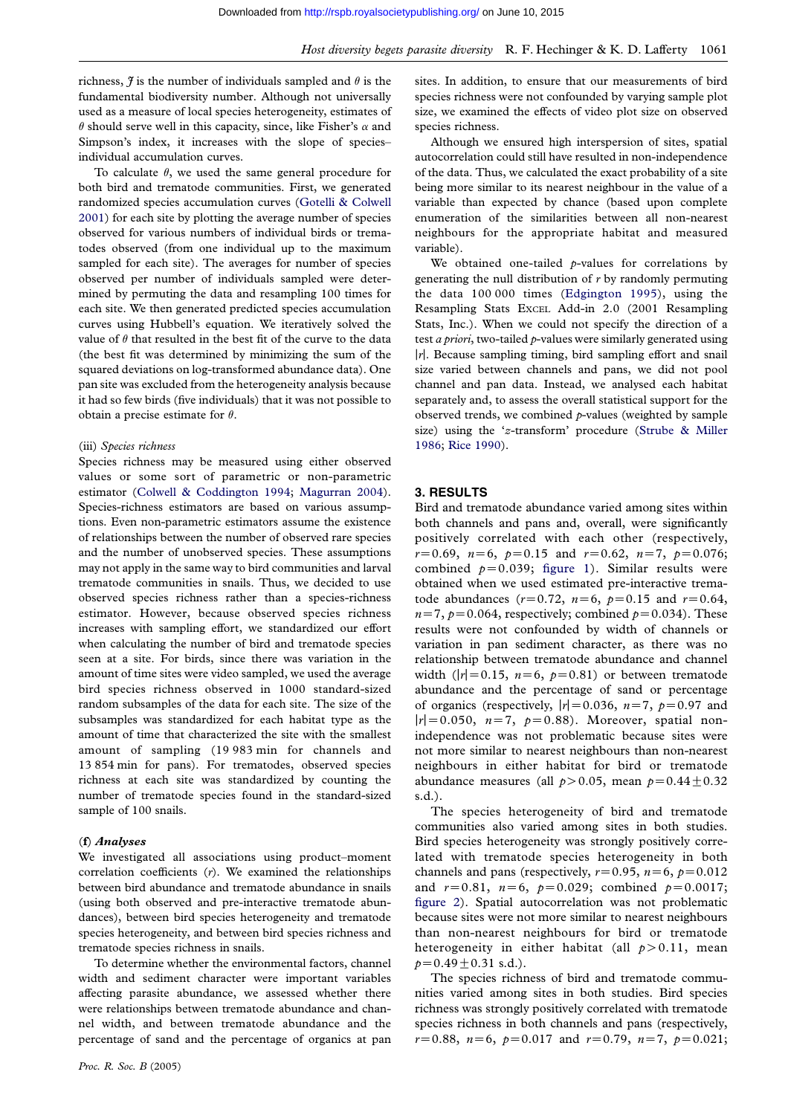richness,  $\hat{J}$  is the number of individuals sampled and  $\theta$  is the fundamental biodiversity number. Although not universally used as a measure of local species heterogeneity, estimates of  $\theta$  should serve well in this capacity, since, like Fisher's  $\alpha$  and Simpson's index, it increases with the slope of species– individual accumulation curves.

To calculate  $\theta$ , we used the same general procedure for both bird and trematode communities. First, we generated randomized species accumulation curves (Gotelli & Colwell 2001) for each site by plotting the average number of species observed for various numbers of individual birds or trematodes observed (from one individual up to the maximum sampled for each site). The averages for [number of species](#page-6-0) [obser](#page-6-0)ved per number of individuals sampled were determined by permuting the data and resampling 100 times for each site. We then generated predicted species accumulation curves using Hubbell's equation. We iteratively solved the value of  $\theta$  that resulted in the best fit of the curve to the data (the best fit was determined by minimizing the sum of the squared deviations on log-transformed abundance data). One pan site was excluded from the heterogeneity analysis because it had so few birds (five individuals) that it was not possible to obtain a precise estimate for  $\theta$ .

## (iii) Species richness

Species richness may be measured using either observed values or some sort of parametric or non-parametric estimator (Colwell & Coddington 1994; Magurran 2004). Species-richness estimators are based on various assumptions. Even non-parametric estimators assume the existence of relationships between the number of observed rare species and the n[umber of unobserved species.](#page-5-0) [These assumption](#page-6-0)s may not apply in the same way to bird communities and larval trematode communities in snails. Thus, we decided to use observed species richness rather than a species-richness estimator. However, because observed species richness increases with sampling effort, we standardized our effort when calculating the number of bird and trematode species seen at a site. For birds, since there was variation in the amount of time sites were video sampled, we used the average bird species richness observed in 1000 standard-sized random subsamples of the data for each site. The size of the subsamples was standardized for each habitat type as the amount of time that characterized the site with the smallest amount of sampling (19 983 min for channels and 13 854 min for pans). For trematodes, observed species richness at each site was standardized by counting the number of trematode species found in the standard-sized sample of 100 snails.

## (f) Analyses

We investigated all associations using product–moment correlation coefficients  $(r)$ . We examined the relationships between bird abundance and trematode abundance in snails (using both observed and pre-interactive trematode abundances), between bird species heterogeneity and trematode species heterogeneity, and between bird species richness and trematode species richness in snails.

To determine whether the environmental factors, channel width and sediment character were important variables affecting parasite abundance, we assessed whether there were relationships between trematode abundance and channel width, and between trematode abundance and the percentage of sand and the percentage of organics at pan [sites. In addi](http://rspb.royalsocietypublishing.org/)tion, to ensure that our measurements of bird species richness were not confounded by varying sample plot size, we examined the effects of video plot size on observed species richness.

Although we ensured high interspersion of sites, spatial autocorrelation could still have resulted in non-independence of the data. Thus, we calculated the exact probability of a site being more similar to its nearest neighbour in the value of a variable than expected by chance (based upon complete enumeration of the similarities between all non-nearest neighbours for the appropriate habitat and measured variable).

We obtained one-tailed  $p$ -values for correlations by generating the null distribution of  $r$  by randomly permuting the data 100 000 times (Edgington 1995), using the Resampling Stats EXCEL Add-in 2.0 (2001 Resampling Stats, Inc.). When we could not specify the direction of a test  $a priori$ , two-tailed  $p$ -values were similarly generated using  $|r|$ . Because sampling timing[, bird sampling ef](#page-6-0)fort and snail size varied between channels and pans, we did not pool channel and pan data. Instead, we analysed each habitat separately and, to assess the overall statistical support for the observed trends, we combined  $p$ -values (weighted by sample size) using the 'z-transform' procedure (Strube & Miller 1986; Rice 1990).

## 3. RESULTS

[Bird](#page-7-0) [and tremat](#page-6-0)ode abundance varied a[mong](#page-7-0) [sites](#page-7-0) [within](#page-7-0) both channels and pans and, overall, were significantly positively correlated with each other (respectively,  $r=0.69$ ,  $n=6$ ,  $p=0.15$  and  $r=0.62$ ,  $n=7$ ,  $p=0.076$ ; combined  $p=0.039$ ; figure 1). Similar results were obtained when we used estimated pre-interactive trematode abundances ( $r=0.72$ ,  $n=6$ ,  $p=0.15$  and  $r=0.64$ ,  $n=7$ ,  $p=0.064$ , respectively; combined  $p=0.034$ ). These results were not conf[ounded b](#page-3-0)y width of channels or variation in pan sediment character, as there was no relationship between trematode abundance and channel width ( $|r|=0.15$ ,  $n=6$ ,  $p=0.81$ ) or between trematode abundance and the percentage of sand or percentage of organics (respectively,  $|r|=0.036$ ,  $n=7$ ,  $p=0.97$  and  $|r|=0.050$ ,  $n=7$ ,  $p=0.88$ ). Moreover, spatial nonindependence was not problematic because sites were not more similar to nearest neighbours than non-nearest neighbours in either habitat for bird or trematode abundance measures (all  $p>0.05$ , mean  $p=0.44\pm0.32$ s.d.).

The species heterogeneity of bird and trematode communities also varied among sites in both studies. Bird species heterogeneity was strongly positively correlated with trematode species heterogeneity in both channels and pans (respectively,  $r=0.95$ ,  $n=6$ ,  $p=0.012$ and  $r=0.81$ ,  $n=6$ ,  $p=0.029$ ; combined  $p=0.0017$ ; figure 2). Spatial autocorrelation was not problematic because sites were not more similar to nearest neighbours than non-nearest neighbours for bird or trematode heterogeneity in either habitat (all  $p > 0.11$ , mean  $p=0.49\pm0.31$  $p=0.49\pm0.31$  $p=0.49\pm0.31$  s.d.).

The species richness of bird and trematode communities varied among sites in both studies. Bird species richness was strongly positively correlated with trematode species richness in both channels and pans (respectively,  $r=0.88$ ,  $n=6$ ,  $p=0.017$  and  $r=0.79$ ,  $n=7$ ,  $p=0.021$ ;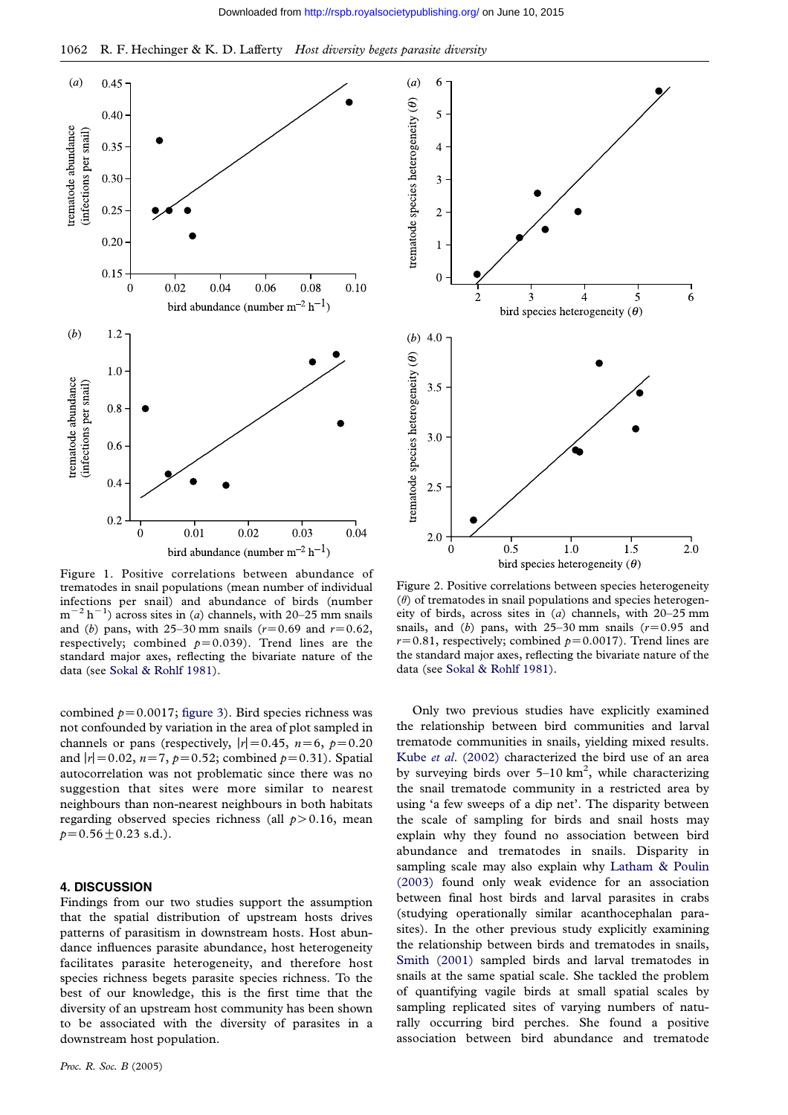<span id="page-3-0"></span>

Figure 1. Positive correlations between abundance of trematodes in snail populations (mean number of individual infections per snail) and abundance of birds (number  $m^{-2} h^{-1}$ ) across sites in (a) channels, with 20–25 mm snails and (b) pans, with 25–30 mm snails ( $r=0.69$  and  $r=0.62$ , respectively; combined  $p=0.039$ ). Trend lines are the standard major axes, reflecting the bivariate nature of the data (see Sokal & Rohlf 1981).

combined  $p=0.0017$ ; figure 3). Bird species richness was not confounded by variation in the area of plot sampled in channels [or](#page-6-0) [pans](#page-6-0) [\(respectiv](#page-6-0)ely,  $|r|=0.45$ ,  $n=6$ ,  $p=0.20$ and  $|r|$  = 0.02, n=7, p=0.52; combined p=0.31). Spatial autocorrelation was n[ot probl](#page-4-0)ematic since there was no suggestion that sites were more similar to nearest neighbours than non-nearest neighbours in both habitats regarding observed species richness (all  $p > 0.16$ , mean  $p=0.56\pm0.23$  s.d.).

## 4. DISCUSSION

Findings from our two studies support the assumption that the spatial distribution of upstream hosts drives patterns of parasitism in downstream hosts. Host abundance influences parasite abundance, host heterogeneity facilitates parasite heterogeneity, and therefore host species richness begets parasite species richness. To the best of our knowledge, this is the first time that the diversity of an upstream host community has been shown to be associated with the diversity of parasites in a downstream host population.



Figure 2. Positive correlations between species heterogeneity  $(\theta)$  of trematodes in snail populations and species heterogeneity of birds, across sites in (a) channels, with 20–25 mm snails, and (b) pans, with  $25-30$  mm snails ( $r=0.95$  and  $r=0.81$ , respectively; combined  $p=0.0017$ ). Trend lines are the standard major axes, reflecting the bivariate nature of the data (see Sokal & Rohlf 1981).

Only two previous studies have explicitly examined the relationship between bird communities and larval trematod[e](#page-6-0) [communities](#page-6-0) [in](#page-6-0) [s](#page-6-0)nails, yielding mixed results. Kube et al. (2002) characterized the bird use of an area by surveying birds over  $5{\text -}10\,\text{km}^2$ , while characterizing the snail trematode community in a restricted area by using 'a few sweeps of a dip net'. The disparity between [the scale of samp](#page-6-0)ling for birds and snail hosts may explain why they found no association between bird abundance and trematodes in snails. Disparity in sampling scale may also explain why Latham & Poulin (2003) found only weak evidence for an association between final host birds and larval parasites in crabs (studying operationally similar acanthocephalan parasites). In the other previous study ex[plicitly examining](#page-6-0) [the rela](#page-6-0)tionship between birds and trematodes in snails, Smith (2001) sampled birds and larval trematodes in snails at the same spatial scale. She tackled the problem of quantifying vagile birds at small spatial scales by sampling replicated sites of varying numbers of natu[rally occurrin](#page-6-0)g bird perches. She found a positive association between bird abundance and trematode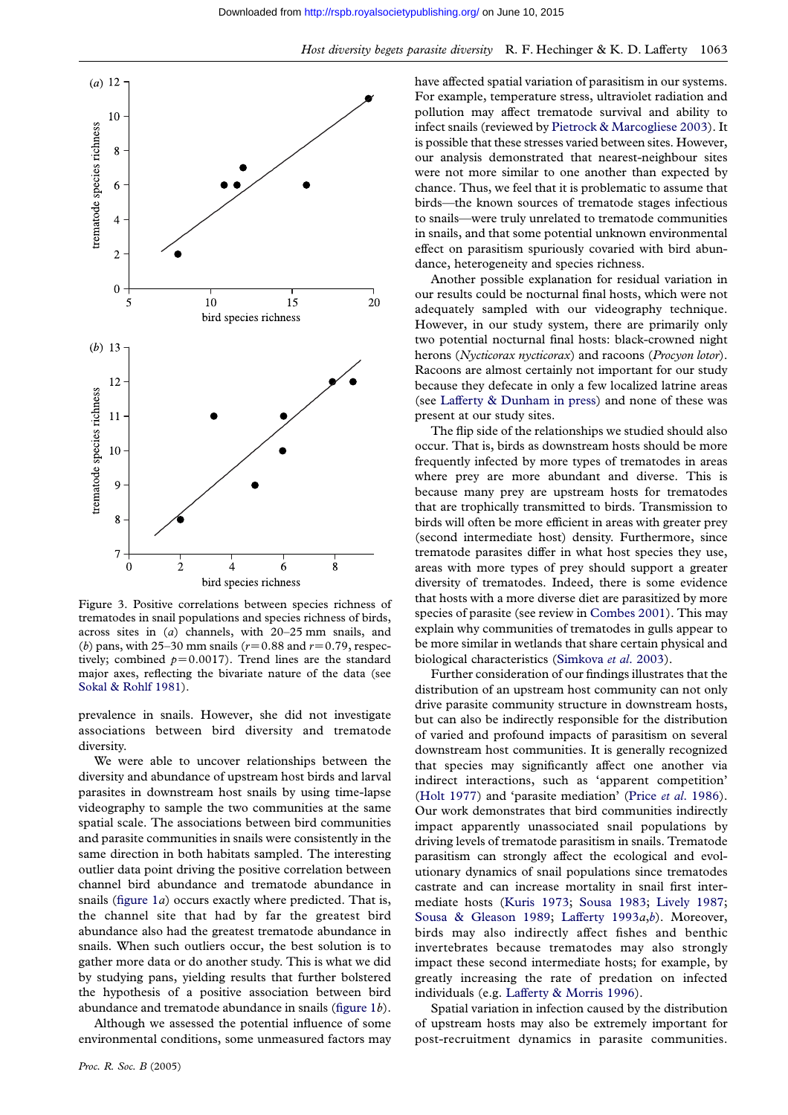<span id="page-4-0"></span>

Figure 3. Positive correlations between species richness of trematodes in snail populations and species richness of birds, across sites in (a) channels, with 20–25 mm snails, and (b) pans, with 25–30 mm snails ( $r=0.88$  and  $r=0.79$ , respectively; combined  $p=0.0017$ ). Trend lines are the standard major axes, reflecting the bivariate nature of the data (see Sokal & Rohlf 1981).

prevalence in snails. However, she did not investigate associations between bird diversity and trematode diversity.

[We](#page-6-0) [were](#page-6-0) [able](#page-6-0) [t](#page-6-0)o uncover relationships between the diversity and abundance of upstream host birds and larval parasites in downstream host snails by using time-lapse videography to sample the two communities at the same spatial scale. The associations between bird communities and parasite communities in snails were consistently in the same direction in both habitats sampled. The interesting outlier data point driving the positive correlation between channel bird abundance and trematode abundance in snails (figure  $1a$ ) occurs exactly where predicted. That is, the channel site that had by far the greatest bird abundance also had the greatest trematode abundance in snails. When such outliers occur, the best solution is to gather [more da](#page-3-0)ta or do another study. This is what we did by studying pans, yielding results that further bolstered the hypothesis of a positive association between bird abundance and trematode abundance in snails (figure 1b).

Although we assessed the potential influence of some environmental conditions, some unmeasured factors may [have affected](http://rspb.royalsocietypublishing.org/) spatial variation of parasitism in our systems. For example, temperature stress, ultraviolet radiation and pollution may affect trematode survival and ability to infect snails (reviewed by Pietrock & Marcogliese 2003). It is possible that these stresses varied between sites. However, our analysis demonstrated that nearest-neighbour sites were not more similar to one another than expected by chance. Thus, we feel tha[t it is problematic to assume t](#page-6-0)hat birds—the known sources of trematode stages infectious to snails—were truly unrelated to trematode communities in snails, and that some potential unknown environmental effect on parasitism spuriously covaried with bird abundance, heterogeneity and species richness.

Another possible explanation for residual variation in our results could be nocturnal final hosts, which were not adequately sampled with our videography technique. However, in our study system, there are primarily only two potential nocturnal final hosts: black-crowned night herons (Nycticorax nycticorax) and racoons (Procyon lotor). Racoons are almost certainly not important for our study because they defecate in only a few localized latrine areas (see Lafferty & Dunham in press) and none of these was present at our study sites.

The flip side of the relationships we studied should also occur. That is, birds as downstream hosts should be more freq[uently infected by more types](#page-6-0) of trematodes in areas where prey are more abundant and diverse. This is because many prey are upstream hosts for trematodes that are trophically transmitted to birds. Transmission to birds will often be more efficient in areas with greater prey (second intermediate host) density. Furthermore, since trematode parasites differ in what host species they use, areas with more types of prey should support a greater diversity of trematodes. Indeed, there is some evidence that hosts with a more diverse diet are parasitized by more species of parasite (see review in Combes 2001). This may explain why communities of trematodes in gulls appear to be more similar in wetlands that share certain physical and biological characteristics (Simkova et al. 2003).

Further consideration of our [findings illustra](#page-6-0)tes that the distribution of an upstream host community can not only drive parasite community structure in downstream hosts, but can also be indirectly [responsible for the](#page-6-0) distribution of varied and profound impacts of parasitism on several downstream host communities. It is generally recognized that species may significantly affect one another via indirect interactions, such as 'apparent competition' (Holt 1977) and 'parasite mediation' (Price et al. 1986). Our work demonstrates that bird communities indirectly impact apparently unassociated snail populations by driving levels of trematode parasitism in snails. Trematode [parasitism](#page-6-0) can strongly affect the ec[ological and evo](#page-6-0)lutionary dynamics of snail populations since trematodes castrate and can increase mortality in snail first intermediate hosts (Kuris 1973; Sousa 1983; Lively 1987; Sousa & Gleason 1989; Lafferty 1993a,b). Moreover, birds may also indirectly affect fishes and benthic invertebrates because trematodes may also strongly impact these se[cond intermediate hosts; fo](#page-6-0)r [example, by](#page-6-0) [greatly increasing the r](#page-7-0)a[te of predation](#page-6-0) on infected individuals (e.g. Lafferty & Morris 1996).

Spatial variation in infection caused by the distribution of upstream hosts may also be extremely important for post-recruitment dynamics in parasite communities.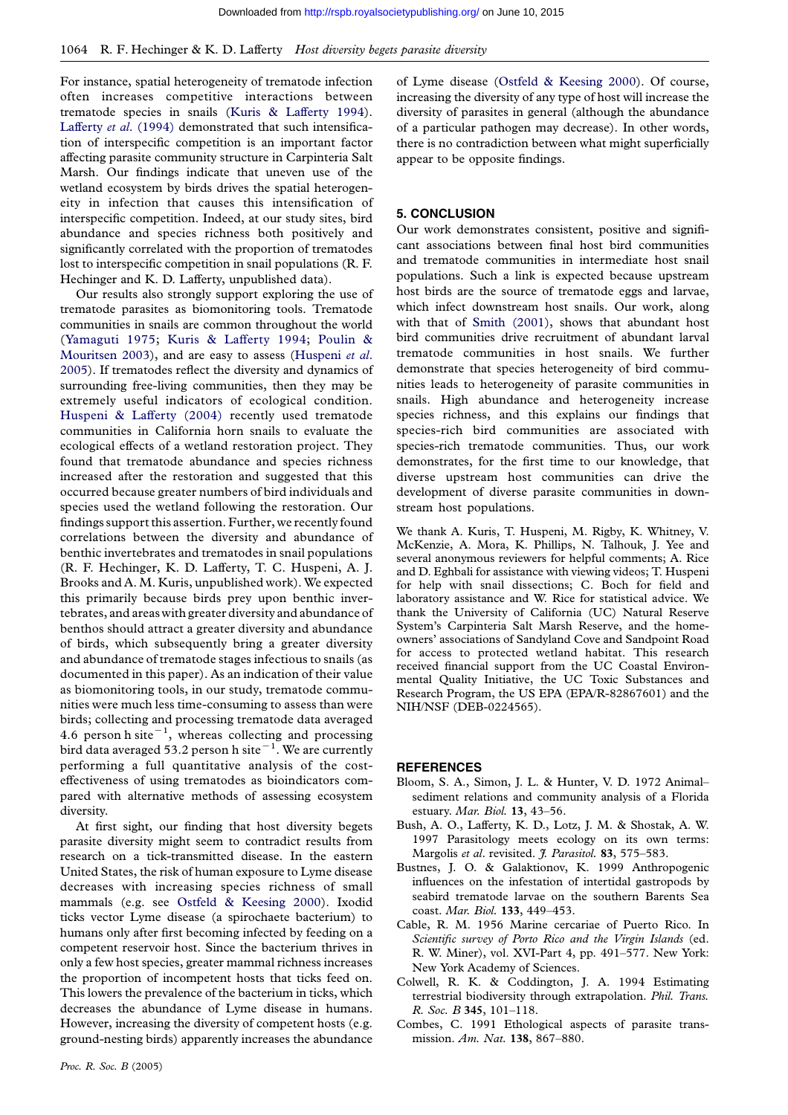<span id="page-5-0"></span>For instance, spatial heterogeneity of trematode infection often increases competitive interactions between trematode species in snails (Kuris & Lafferty 1994). Lafferty et al. (1994) demonstrated that such intensification of interspecific competition is an important factor affecting parasite community structure in Carpinteria Salt Marsh. Our findings indicate [that uneven use of th](#page-6-0)e [wetland ecosystem by](#page-6-0) birds drives the spatial heterogeneity in infection that causes this intensification of interspecific competition. Indeed, at our study sites, bird abundance and species richness both positively and significantly correlated with the proportion of trematodes lost to interspecific competition in snail populations (R. F. Hechinger and K. D. Lafferty, unpublished data).

Our results also strongly support exploring the use of trematode parasites as biomonitoring tools. Trematode communities in snails are common throughout the world (Yamaguti 1975; Kuris & Lafferty 1994; Poulin & Mouritsen 2003), and are easy to assess (Huspeni et al. 2005). If trematodes reflect the diversity and dynamics of surrounding free-living communities, then they may be [extremely useful](#page-7-0) [indicators of ecological](#page-6-0) [condition.](#page-6-0) [Huspeni & Laf](#page-6-0)ferty (2004) recently us[ed trematode](#page-6-0) [comm](#page-6-0)unities in California horn snails to evaluate the ecological effects of a wetland restoration project. They found that trematode abundance and species richness [increased after the restoratio](#page-6-0)n and suggested that this occurred because greater numbers of bird individuals and species used the wetland following the restoration. Our findings support this assertion. Further, we recently found correlations between the diversity and abundance of benthic invertebrates and trematodes in snail populations (R. F. Hechinger, K. D. Lafferty, T. C. Huspeni, A. J. Brooks and A. M. Kuris, unpublished work). We expected this primarily because birds prey upon benthic invertebrates, and areas with greater diversity and abundance of benthos should attract a greater diversity and abundance of birds, which subsequently bring a greater diversity and abundance of trematode stages infectious to snails (as documented in this paper). As an indication of their value as biomonitoring tools, in our study, trematode communities were much less time-consuming to assess than were birds; collecting and processing trematode data averaged 4.6 person h site<sup> $-1$ </sup>, whereas collecting and processing bird data averaged 53.2 person h site $^{-1}$ . We are currently performing a full quantitative analysis of the costeffectiveness of using trematodes as bioindicators compared with alternative methods of assessing ecosystem diversity.

At first sight, our finding that host diversity begets parasite diversity might seem to contradict results from research on a tick-transmitted disease. In the eastern United States, the risk of human exposure to Lyme disease decreases with increasing species richness of small mammals (e.g. see Ostfeld & Keesing 2000). Ixodid ticks vector Lyme disease (a spirochaete bacterium) to humans only after first becoming infected by feeding on a competent reservoir host. Since the bacterium thrives in only a few host specie[s, greater mammal richness](#page-6-0) increases the proportion of incompetent hosts that ticks feed on. This lowers the prevalence of the bacterium in ticks, which decreases the abundance of Lyme disease in humans. However, increasing the diversity of competent hosts (e.g. ground-nesting birds) apparently increases the abundance

[of Lyme diseas](http://rspb.royalsocietypublishing.org/)e (Ostfeld & Keesing 2000). Of course, increasing the diversity of any type of host will increase the diversity of parasites in general (although the abundance of a particular pathogen may decrease). In other words, there is no contrad[iction between what migh](#page-6-0)t superficially appear to be opposite findings.

# 5. CONCLUSION

Our work demonstrates consistent, positive and significant associations between final host bird communities and trematode communities in intermediate host snail populations. Such a link is expected because upstream host birds are the source of trematode eggs and larvae, which infect downstream host snails. Our work, along with that of Smith (2001), shows that abundant host bird communities drive recruitment of abundant larval trematode communities in host snails. We further demonstrate that species heterogeneity of bird communities leads t[o heterogeneity](#page-6-0) of parasite communities in snails. High abundance and heterogeneity increase species richness, and this explains our findings that species-rich bird communities are associated with species-rich trematode communities. Thus, our work demonstrates, for the first time to our knowledge, that diverse upstream host communities can drive the development of diverse parasite communities in downstream host populations.

We thank A. Kuris, T. Huspeni, M. Rigby, K. Whitney, V. McKenzie, A. Mora, K. Phillips, N. Talhouk, J. Yee and several anonymous reviewers for helpful comments; A. Rice and D. Eghbali for assistance with viewing videos; T. Huspeni for help with snail dissections; C. Boch for field and laboratory assistance and W. Rice for statistical advice. We thank the University of California (UC) Natural Reserve System's Carpinteria Salt Marsh Reserve, and the homeowners' associations of Sandyland Cove and Sandpoint Road for access to protected wetland habitat. This research received financial support from the UC Coastal Environmental Quality Initiative, the UC Toxic Substances and Research Program, the US EPA (EPA/R-82867601) and the NIH/NSF (DEB-0224565).

## REFERENCES

- Bloom, S. A., Simon, J. L. & Hunter, V. D. 1972 Animal– sediment relations and community analysis of a Florida estuary. Mar. Biol. 13, 43–56.
- Bush, A. O., Lafferty, K. D., Lotz, J. M. & Shostak, A. W. 1997 Parasitology meets ecology on its own terms: Margolis et al. revisited. J. Parasitol. 83, 575-583.
- Bustnes, J. O. & Galaktionov, K. 1999 Anthropogenic influences on the infestation of intertidal gastropods by seabird trematode larvae on the southern Barents Sea coast. Mar. Biol. 133, 449–453.
- Cable, R. M. 1956 Marine cercariae of Puerto Rico. In Scientific survey of Porto Rico and the Virgin Islands (ed. R. W. Miner), vol. XVI-Part 4, pp. 491–577. New York: New York Academy of Sciences.
- Colwell, R. K. & Coddington, J. A. 1994 Estimating terrestrial biodiversity through extrapolation. Phil. Trans. R. Soc. B 345, 101–118.
- Combes, C. 1991 Ethological aspects of parasite transmission. Am. Nat. 138, 867–880.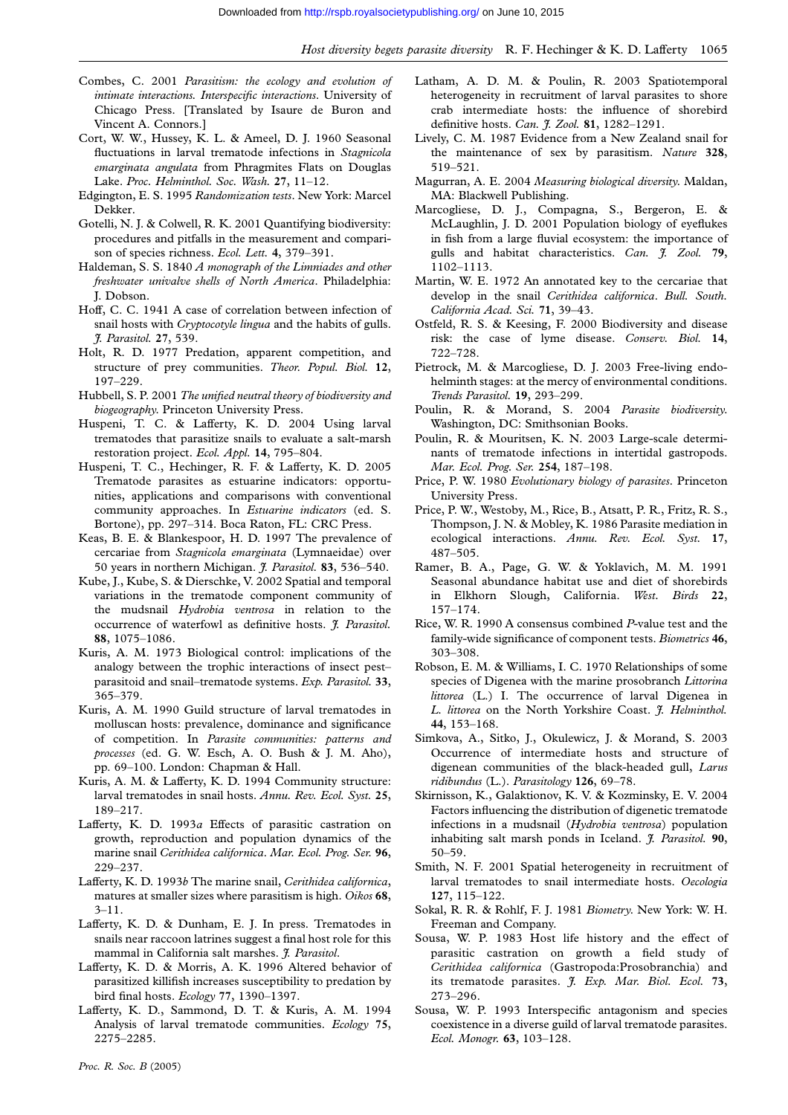- <span id="page-6-0"></span>Combes, C. 2001 Parasitism: the ecology [and evolution of](http://rspb.royalsocietypublishing.org/) intimate interactions. Interspecific interactions. University of Chicago Press. [Translated by Isaure de Buron and Vincent A. Connors.]
- Cort, W. W., Hussey, K. L. & Ameel, D. J. 1960 Seasonal fluctuations in larval trematode infections in Stagnicola emarginata angulata from Phragmites Flats on Douglas Lake. Proc. Helminthol. Soc. Wash. 27, 11–12.
- Edgington, E. S. 1995 Randomization tests. New York: Marcel Dekker.
- Gotelli, N. J. & Colwell, R. K. 2001 Quantifying biodiversity: procedures and pitfalls in the measurement and comparison of species richness. Ecol. Lett. 4, 379-391.
- Haldeman, S. S. 1840 A monograph of the Limniades and other freshwater univalve shells of North America. Philadelphia: J. Dobson.
- Hoff, C. C. 1941 A case of correlation between infection of snail hosts with Cryptocotyle lingua and the habits of gulls. J. Parasitol. 27, 539.
- Holt, R. D. 1977 Predation, apparent competition, and structure of prey communities. Theor. Popul. Biol. 12, 197–229.
- Hubbell, S. P. 2001 The unified neutral theory of biodiversity and biogeography. Princeton University Press.
- Huspeni, T. C. & Lafferty, K. D. 2004 Using larval trematodes that parasitize snails to evaluate a salt-marsh restoration project. Ecol. Appl. 14, 795-804.
- Huspeni, T. C., Hechinger, R. F. & Lafferty, K. D. 2005 Trematode parasites as estuarine indicators: opportunities, applications and comparisons with conventional community approaches. In Estuarine indicators (ed. S. Bortone), pp. 297–314. Boca Raton, FL: CRC Press.
- Keas, B. E. & Blankespoor, H. D. 1997 The prevalence of cercariae from Stagnicola emarginata (Lymnaeidae) over 50 years in northern Michigan. *J. Parasitol*. 83, 536-540.
- Kube, J., Kube, S. & Dierschke, V. 2002 Spatial and temporal variations in the trematode component community of the mudsnail Hydrobia ventrosa in relation to the occurrence of waterfowl as definitive hosts. J. Parasitol. 88, 1075–1086.
- Kuris, A. M. 1973 Biological control: implications of the analogy between the trophic interactions of insect pest– parasitoid and snail–trematode systems. Exp. Parasitol. 33, 365–379.
- Kuris, A. M. 1990 Guild structure of larval trematodes in molluscan hosts: prevalence, dominance and significance of competition. In Parasite communities: patterns and processes (ed. G. W. Esch, A. O. Bush & J. M. Aho), pp. 69–100. London: Chapman & Hall.
- Kuris, A. M. & Lafferty, K. D. 1994 Community structure: larval trematodes in snail hosts. Annu. Rev. Ecol. Syst. 25, 189–217.
- Lafferty, K. D. 1993a Effects of parasitic castration on growth, reproduction and population dynamics of the marine snail Cerithidea californica. Mar. Ecol. Prog. Ser. 96, 229–237.
- Lafferty, K. D. 1993b The marine snail, Cerithidea californica, matures at smaller sizes where parasitism is high. Oikos 68, 3–11.
- Lafferty, K. D. & Dunham, E. J. In press. Trematodes in snails near raccoon latrines suggest a final host role for this mammal in California salt marshes. J. Parasitol.
- Lafferty, K. D. & Morris, A. K. 1996 Altered behavior of parasitized killifish increases susceptibility to predation by bird final hosts. Ecology 77, 1390–1397.
- Lafferty, K. D., Sammond, D. T. & Kuris, A. M. 1994 Analysis of larval trematode communities. Ecology 75, 2275–2285.
- Latham, A. D. M. & Poulin, R. 2003 Spatiotemporal heterogeneity in recruitment of larval parasites to shore crab intermediate hosts: the influence of shorebird definitive hosts. Can. J. Zool. 81, 1282-1291.
- Lively, C. M. 1987 Evidence from a New Zealand snail for the maintenance of sex by parasitism. Nature 328, 519–521.
- Magurran, A. E. 2004 Measuring biological diversity. Maldan, MA: Blackwell Publishing.
- Marcogliese, D. J., Compagna, S., Bergeron, E. & McLaughlin, J. D. 2001 Population biology of eyeflukes in fish from a large fluvial ecosystem: the importance of gulls and habitat characteristics. Can. *J. Zool.* 79, 1102–1113.
- Martin, W. E. 1972 An annotated key to the cercariae that develop in the snail Cerithidea californica. Bull. South. California Acad. Sci. 71, 39–43.
- Ostfeld, R. S. & Keesing, F. 2000 Biodiversity and disease risk: the case of lyme disease. Conserv. Biol. 14, 722–728.
- Pietrock, M. & Marcogliese, D. J. 2003 Free-living endohelminth stages: at the mercy of environmental conditions. Trends Parasitol. 19, 293–299.
- Poulin, R. & Morand, S. 2004 Parasite biodiversity. Washington, DC: Smithsonian Books.
- Poulin, R. & Mouritsen, K. N. 2003 Large-scale determinants of trematode infections in intertidal gastropods. Mar. Ecol. Prog. Ser. 254, 187–198.
- Price, P. W. 1980 Evolutionary biology of parasites. Princeton University Press.
- Price, P. W., Westoby, M., Rice, B., Atsatt, P. R., Fritz, R. S., Thompson, J. N. & Mobley, K. 1986 Parasite mediation in ecological interactions. Annu. Rev. Ecol. Syst. 17, 487–505.
- Ramer, B. A., Page, G. W. & Yoklavich, M. M. 1991 Seasonal abundance habitat use and diet of shorebirds in Elkhorn Slough, California. West. Birds 22, 157–174.
- Rice, W. R. 1990 A consensus combined P-value test and the family-wide significance of component tests. Biometrics 46, 303–308.
- Robson, E. M. & Williams, I. C. 1970 Relationships of some species of Digenea with the marine prosobranch Littorina littorea (L.) I. The occurrence of larval Digenea in L. littorea on the North Yorkshire Coast. J. Helminthol. 44, 153–168.
- Simkova, A., Sitko, J., Okulewicz, J. & Morand, S. 2003 Occurrence of intermediate hosts and structure of digenean communities of the black-headed gull, Larus ridibundus (L.). Parasitology 126, 69–78.
- Skirnisson, K., Galaktionov, K. V. & Kozminsky, E. V. 2004 Factors influencing the distribution of digenetic trematode infections in a mudsnail (Hydrobia ventrosa) population inhabiting salt marsh ponds in Iceland. J. Parasitol. 90, 50–59.
- Smith, N. F. 2001 Spatial heterogeneity in recruitment of larval trematodes to snail intermediate hosts. Oecologia 127, 115–122.
- Sokal, R. R. & Rohlf, F. J. 1981 Biometry. New York: W. H. Freeman and Company.
- Sousa, W. P. 1983 Host life history and the effect of parasitic castration on growth a field study of Cerithidea californica (Gastropoda:Prosobranchia) and its trematode parasites. *J. Exp. Mar. Biol. Ecol.* 73, 273–296.
- Sousa, W. P. 1993 Interspecific antagonism and species coexistence in a diverse guild of larval trematode parasites. Ecol. Monogr. 63, 103–128.